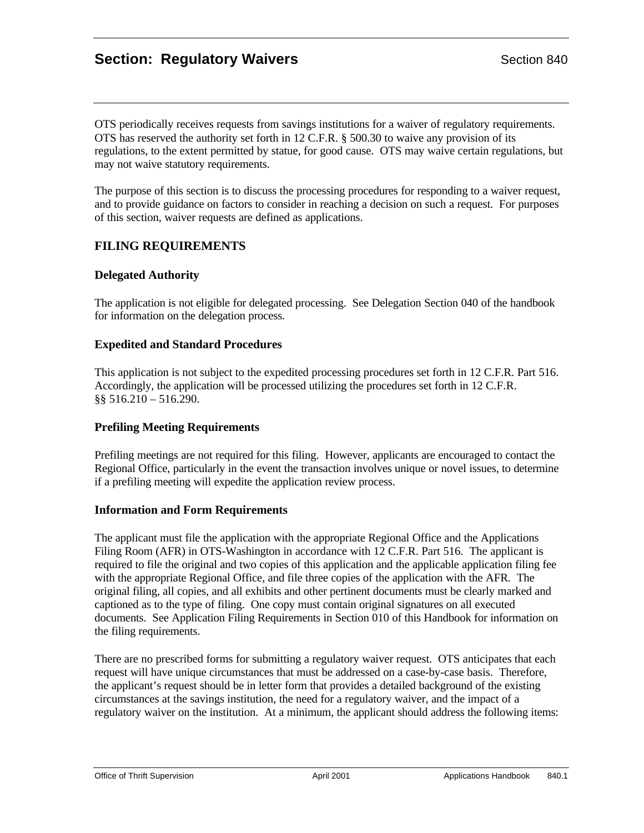# **Section: Regulatory Waivers** Section 840

OTS periodically receives requests from savings institutions for a waiver of regulatory requirements. OTS has reserved the authority set forth in 12 C.F.R. § 500.30 to waive any provision of its regulations, to the extent permitted by statue, for good cause. OTS may waive certain regulations, but may not waive statutory requirements.

The purpose of this section is to discuss the processing procedures for responding to a waiver request, and to provide guidance on factors to consider in reaching a decision on such a request. For purposes of this section, waiver requests are defined as applications.

## **FILING REQUIREMENTS**

#### **Delegated Authority**

The application is not eligible for delegated processing. See Delegation Section 040 of the handbook for information on the delegation process.

#### **Expedited and Standard Procedures**

This application is not subject to the expedited processing procedures set forth in 12 C.F.R. Part 516. Accordingly, the application will be processed utilizing the procedures set forth in 12 C.F.R. §§ 516.210 – 516.290.

## **Prefiling Meeting Requirements**

Prefiling meetings are not required for this filing. However, applicants are encouraged to contact the Regional Office, particularly in the event the transaction involves unique or novel issues, to determine if a prefiling meeting will expedite the application review process.

#### **Information and Form Requirements**

The applicant must file the application with the appropriate Regional Office and the Applications Filing Room (AFR) in OTS-Washington in accordance with 12 C.F.R. Part 516. The applicant is required to file the original and two copies of this application and the applicable application filing fee with the appropriate Regional Office, and file three copies of the application with the AFR. The original filing, all copies, and all exhibits and other pertinent documents must be clearly marked and captioned as to the type of filing. One copy must contain original signatures on all executed documents. See Application Filing Requirements in Section 010 of this Handbook for information on the filing requirements.

There are no prescribed forms for submitting a regulatory waiver request. OTS anticipates that each request will have unique circumstances that must be addressed on a case-by-case basis. Therefore, the applicant's request should be in letter form that provides a detailed background of the existing circumstances at the savings institution, the need for a regulatory waiver, and the impact of a regulatory waiver on the institution. At a minimum, the applicant should address the following items: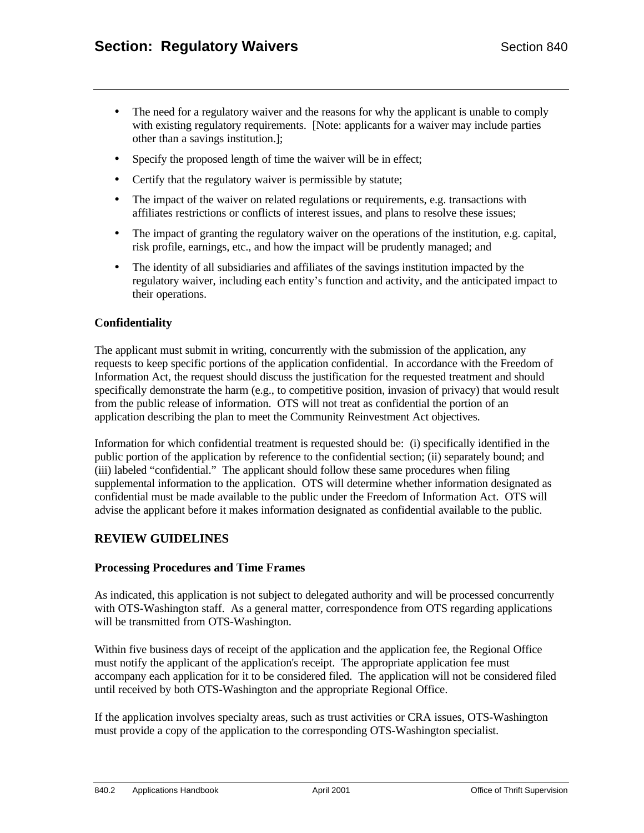- The need for a regulatory waiver and the reasons for why the applicant is unable to comply with existing regulatory requirements. [Note: applicants for a waiver may include parties other than a savings institution.];
- Specify the proposed length of time the waiver will be in effect;
- Certify that the regulatory waiver is permissible by statute;
- The impact of the waiver on related regulations or requirements, e.g. transactions with affiliates restrictions or conflicts of interest issues, and plans to resolve these issues;
- The impact of granting the regulatory waiver on the operations of the institution, e.g. capital, risk profile, earnings, etc., and how the impact will be prudently managed; and
- The identity of all subsidiaries and affiliates of the savings institution impacted by the regulatory waiver, including each entity's function and activity, and the anticipated impact to their operations.

#### **Confidentiality**

The applicant must submit in writing, concurrently with the submission of the application, any requests to keep specific portions of the application confidential. In accordance with the Freedom of Information Act, the request should discuss the justification for the requested treatment and should specifically demonstrate the harm (e.g., to competitive position, invasion of privacy) that would result from the public release of information. OTS will not treat as confidential the portion of an application describing the plan to meet the Community Reinvestment Act objectives.

Information for which confidential treatment is requested should be: (i) specifically identified in the public portion of the application by reference to the confidential section; (ii) separately bound; and (iii) labeled "confidential." The applicant should follow these same procedures when filing supplemental information to the application. OTS will determine whether information designated as confidential must be made available to the public under the Freedom of Information Act. OTS will advise the applicant before it makes information designated as confidential available to the public.

## **REVIEW GUIDELINES**

#### **Processing Procedures and Time Frames**

As indicated, this application is not subject to delegated authority and will be processed concurrently with OTS-Washington staff. As a general matter, correspondence from OTS regarding applications will be transmitted from OTS-Washington.

Within five business days of receipt of the application and the application fee, the Regional Office must notify the applicant of the application's receipt. The appropriate application fee must accompany each application for it to be considered filed. The application will not be considered filed until received by both OTS-Washington and the appropriate Regional Office.

If the application involves specialty areas, such as trust activities or CRA issues, OTS-Washington must provide a copy of the application to the corresponding OTS-Washington specialist.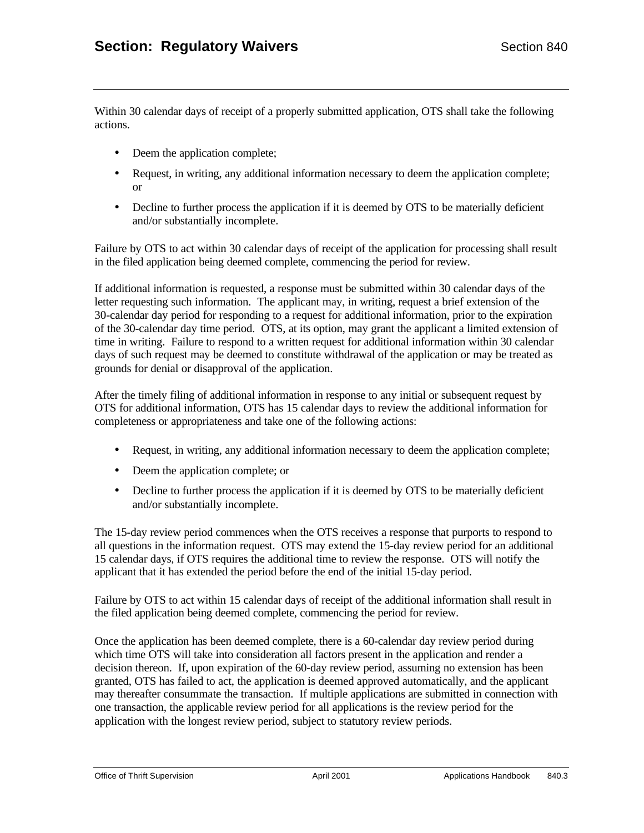Within 30 calendar days of receipt of a properly submitted application, OTS shall take the following actions.

- Deem the application complete;
- Request, in writing, any additional information necessary to deem the application complete; or
- Decline to further process the application if it is deemed by OTS to be materially deficient and/or substantially incomplete.

Failure by OTS to act within 30 calendar days of receipt of the application for processing shall result in the filed application being deemed complete, commencing the period for review.

If additional information is requested, a response must be submitted within 30 calendar days of the letter requesting such information. The applicant may, in writing, request a brief extension of the 30-calendar day period for responding to a request for additional information, prior to the expiration of the 30-calendar day time period. OTS, at its option, may grant the applicant a limited extension of time in writing. Failure to respond to a written request for additional information within 30 calendar days of such request may be deemed to constitute withdrawal of the application or may be treated as grounds for denial or disapproval of the application.

After the timely filing of additional information in response to any initial or subsequent request by OTS for additional information, OTS has 15 calendar days to review the additional information for completeness or appropriateness and take one of the following actions:

- Request, in writing, any additional information necessary to deem the application complete;
- Deem the application complete; or
- Decline to further process the application if it is deemed by OTS to be materially deficient and/or substantially incomplete.

The 15-day review period commences when the OTS receives a response that purports to respond to all questions in the information request. OTS may extend the 15-day review period for an additional 15 calendar days, if OTS requires the additional time to review the response. OTS will notify the applicant that it has extended the period before the end of the initial 15-day period.

Failure by OTS to act within 15 calendar days of receipt of the additional information shall result in the filed application being deemed complete, commencing the period for review.

Once the application has been deemed complete, there is a 60-calendar day review period during which time OTS will take into consideration all factors present in the application and render a decision thereon. If, upon expiration of the 60-day review period, assuming no extension has been granted, OTS has failed to act, the application is deemed approved automatically, and the applicant may thereafter consummate the transaction. If multiple applications are submitted in connection with one transaction, the applicable review period for all applications is the review period for the application with the longest review period, subject to statutory review periods.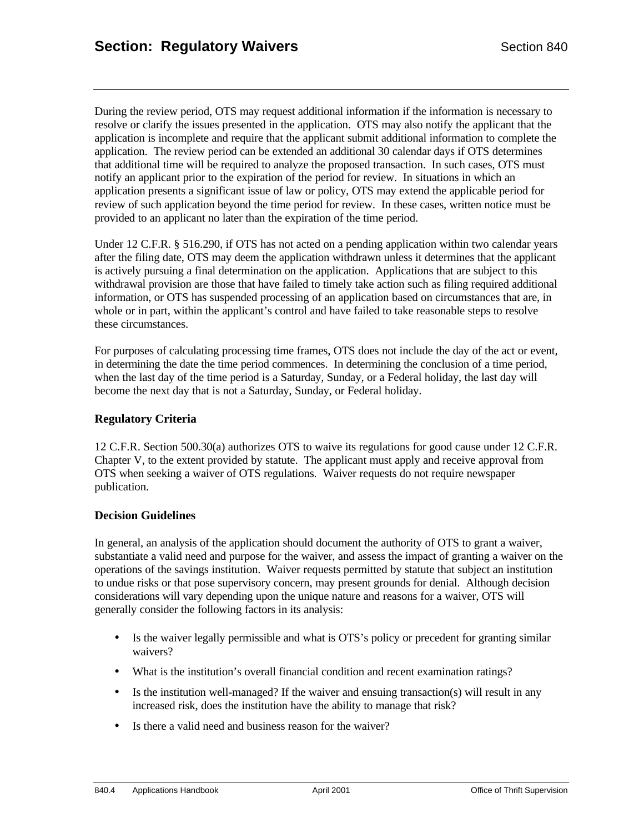During the review period, OTS may request additional information if the information is necessary to resolve or clarify the issues presented in the application. OTS may also notify the applicant that the application is incomplete and require that the applicant submit additional information to complete the application. The review period can be extended an additional 30 calendar days if OTS determines that additional time will be required to analyze the proposed transaction. In such cases, OTS must notify an applicant prior to the expiration of the period for review. In situations in which an application presents a significant issue of law or policy, OTS may extend the applicable period for review of such application beyond the time period for review. In these cases, written notice must be provided to an applicant no later than the expiration of the time period.

Under 12 C.F.R. § 516.290, if OTS has not acted on a pending application within two calendar years after the filing date, OTS may deem the application withdrawn unless it determines that the applicant is actively pursuing a final determination on the application. Applications that are subject to this withdrawal provision are those that have failed to timely take action such as filing required additional information, or OTS has suspended processing of an application based on circumstances that are, in whole or in part, within the applicant's control and have failed to take reasonable steps to resolve these circumstances.

For purposes of calculating processing time frames, OTS does not include the day of the act or event, in determining the date the time period commences. In determining the conclusion of a time period, when the last day of the time period is a Saturday, Sunday, or a Federal holiday, the last day will become the next day that is not a Saturday, Sunday, or Federal holiday.

### **Regulatory Criteria**

12 C.F.R. Section 500.30(a) authorizes OTS to waive its regulations for good cause under 12 C.F.R. Chapter V, to the extent provided by statute. The applicant must apply and receive approval from OTS when seeking a waiver of OTS regulations. Waiver requests do not require newspaper publication.

#### **Decision Guidelines**

In general, an analysis of the application should document the authority of OTS to grant a waiver, substantiate a valid need and purpose for the waiver, and assess the impact of granting a waiver on the operations of the savings institution. Waiver requests permitted by statute that subject an institution to undue risks or that pose supervisory concern, may present grounds for denial. Although decision considerations will vary depending upon the unique nature and reasons for a waiver, OTS will generally consider the following factors in its analysis:

- Is the waiver legally permissible and what is OTS's policy or precedent for granting similar waivers?
- What is the institution's overall financial condition and recent examination ratings?
- Is the institution well-managed? If the waiver and ensuing transaction(s) will result in any increased risk, does the institution have the ability to manage that risk?
- Is there a valid need and business reason for the waiver?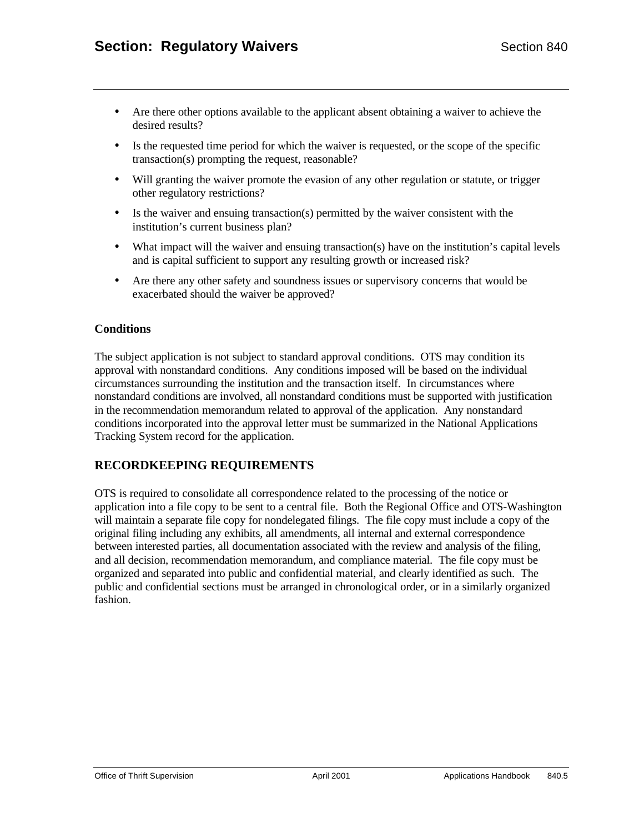- Are there other options available to the applicant absent obtaining a waiver to achieve the desired results?
- Is the requested time period for which the waiver is requested, or the scope of the specific transaction(s) prompting the request, reasonable?
- Will granting the waiver promote the evasion of any other regulation or statute, or trigger other regulatory restrictions?
- Is the waiver and ensuing transaction(s) permitted by the waiver consistent with the institution's current business plan?
- What impact will the waiver and ensuing transaction(s) have on the institution's capital levels and is capital sufficient to support any resulting growth or increased risk?
- Are there any other safety and soundness issues or supervisory concerns that would be exacerbated should the waiver be approved?

## **Conditions**

The subject application is not subject to standard approval conditions. OTS may condition its approval with nonstandard conditions. Any conditions imposed will be based on the individual circumstances surrounding the institution and the transaction itself. In circumstances where nonstandard conditions are involved, all nonstandard conditions must be supported with justification in the recommendation memorandum related to approval of the application. Any nonstandard conditions incorporated into the approval letter must be summarized in the National Applications Tracking System record for the application.

# **RECORDKEEPING REQUIREMENTS**

OTS is required to consolidate all correspondence related to the processing of the notice or application into a file copy to be sent to a central file. Both the Regional Office and OTS-Washington will maintain a separate file copy for nondelegated filings. The file copy must include a copy of the original filing including any exhibits, all amendments, all internal and external correspondence between interested parties, all documentation associated with the review and analysis of the filing, and all decision, recommendation memorandum, and compliance material. The file copy must be organized and separated into public and confidential material, and clearly identified as such. The public and confidential sections must be arranged in chronological order, or in a similarly organized fashion.